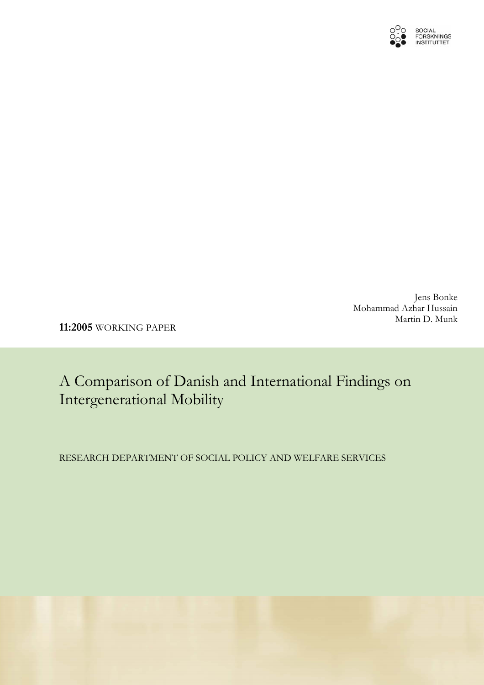

Jens Bonke Mohammad Azhar Hussain Martin D. Munk

**11:2005** WORKING PAPER

A Comparison of Danish and International Findings on Intergenerational Mobility

RESEARCH DEPARTMENT OF SOCIAL POLICY AND WELFARE SERVICES

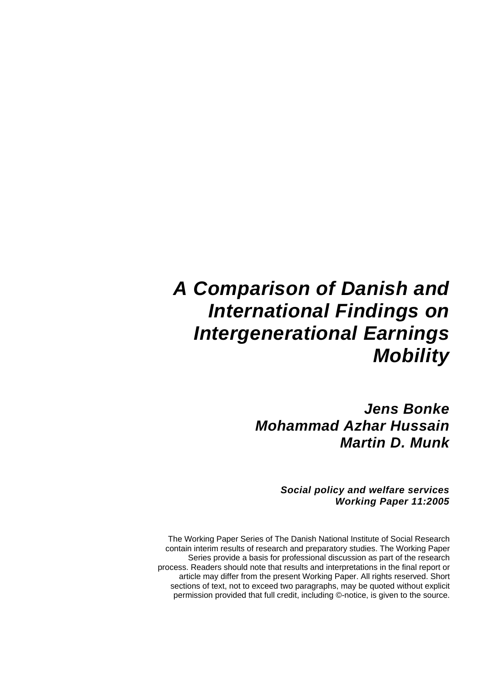# *A Comparison of Danish and International Findings on Intergenerational Earnings Mobility*

*Jens Bonke Mohammad Azhar Hussain Martin D. Munk* 

> *Social policy and welfare services Working Paper 11:2005*

The Working Paper Series of The Danish National Institute of Social Research contain interim results of research and preparatory studies. The Working Paper Series provide a basis for professional discussion as part of the research process. Readers should note that results and interpretations in the final report or article may differ from the present Working Paper. All rights reserved. Short sections of text, not to exceed two paragraphs, may be quoted without explicit permission provided that full credit, including ©-notice, is given to the source.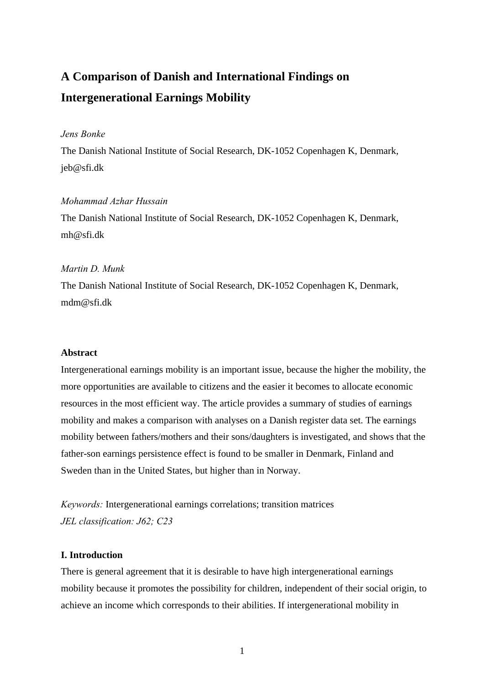# **A Comparison of Danish and International Findings on Intergenerational Earnings Mobility**

# *Jens Bonke*

The Danish National Institute of Social Research, DK-1052 Copenhagen K, Denmark, jeb@sfi.dk

# *Mohammad Azhar Hussain*

The Danish National Institute of Social Research, DK-1052 Copenhagen K, Denmark, mh@sfi.dk

# *Martin D. Munk*

The Danish National Institute of Social Research, DK-1052 Copenhagen K, Denmark, mdm@sfi.dk

# **Abstract**

Intergenerational earnings mobility is an important issue, because the higher the mobility, the more opportunities are available to citizens and the easier it becomes to allocate economic resources in the most efficient way. The article provides a summary of studies of earnings mobility and makes a comparison with analyses on a Danish register data set. The earnings mobility between fathers/mothers and their sons/daughters is investigated, and shows that the father-son earnings persistence effect is found to be smaller in Denmark, Finland and Sweden than in the United States, but higher than in Norway.

*Keywords:* Intergenerational earnings correlations; transition matrices *JEL classification: J62; C23*

# **I. Introduction**

There is general agreement that it is desirable to have high intergenerational earnings mobility because it promotes the possibility for children, independent of their social origin, to achieve an income which corresponds to their abilities. If intergenerational mobility in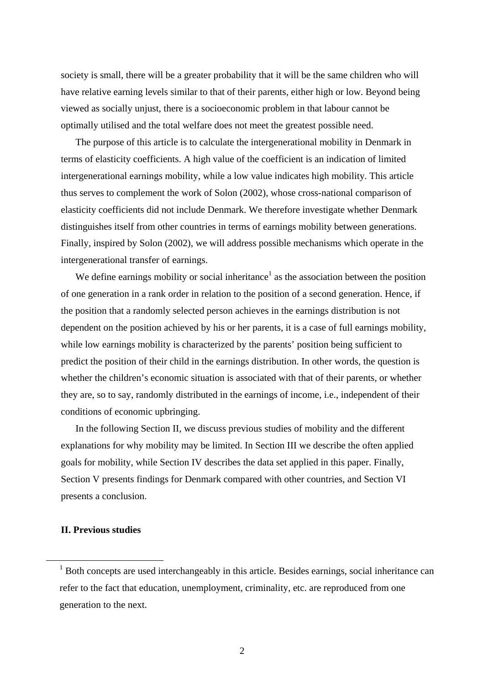society is small, there will be a greater probability that it will be the same children who will have relative earning levels similar to that of their parents, either high or low. Beyond being viewed as socially unjust, there is a socioeconomic problem in that labour cannot be optimally utilised and the total welfare does not meet the greatest possible need.

The purpose of this article is to calculate the intergenerational mobility in Denmark in terms of elasticity coefficients. A high value of the coefficient is an indication of limited intergenerational earnings mobility, while a low value indicates high mobility. This article thus serves to complement the work of Solon (2002), whose cross-national comparison of elasticity coefficients did not include Denmark. We therefore investigate whether Denmark distinguishes itself from other countries in terms of earnings mobility between generations. Finally, inspired by Solon (2002), we will address possible mechanisms which operate in the intergenerational transfer of earnings.

We define earnings mobility or social inheritance<sup>1</sup> as the association between the position of one generation in a rank order in relation to the position of a second generation. Hence, if the position that a randomly selected person achieves in the earnings distribution is not dependent on the position achieved by his or her parents, it is a case of full earnings mobility, while low earnings mobility is characterized by the parents' position being sufficient to predict the position of their child in the earnings distribution. In other words, the question is whether the children's economic situation is associated with that of their parents, or whether they are, so to say, randomly distributed in the earnings of income, i.e., independent of their conditions of economic upbringing.

In the following Section II, we discuss previous studies of mobility and the different explanations for why mobility may be limited. In Section III we describe the often applied goals for mobility, while Section IV describes the data set applied in this paper. Finally, Section V presents findings for Denmark compared with other countries, and Section VI presents a conclusion.

# **II. Previous studies**

<span id="page-3-0"></span><sup>&</sup>lt;sup>1</sup> Both concepts are used interchangeably in this article. Besides earnings, social inheritance can refer to the fact that education, unemployment, criminality, etc. are reproduced from one generation to the next.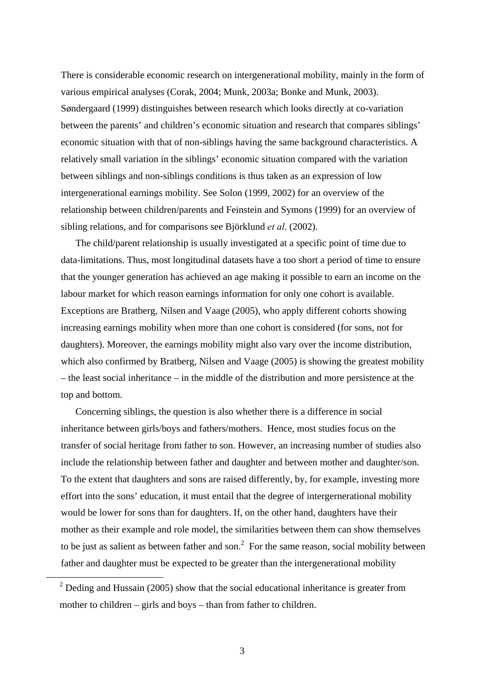There is considerable economic research on intergenerational mobility, mainly in the form of various empirical analyses (Corak, 2004; Munk, 2003a; Bonke and Munk, 2003). Søndergaard (1999) distinguishes between research which looks directly at co-variation between the parents' and children's economic situation and research that compares siblings' economic situation with that of non-siblings having the same background characteristics. A relatively small variation in the siblings' economic situation compared with the variation between siblings and non-siblings conditions is thus taken as an expression of low intergenerational earnings mobility. See Solon (1999, 2002) for an overview of the relationship between children/parents and Feinstein and Symons (1999) for an overview of sibling relations, and for comparisons see Björklund *et al*. (2002).

The child/parent relationship is usually investigated at a specific point of time due to data-limitations. Thus, most longitudinal datasets have a too short a period of time to ensure that the younger generation has achieved an age making it possible to earn an income on the labour market for which reason earnings information for only one cohort is available. Exceptions are Bratberg, Nilsen and Vaage (2005), who apply different cohorts showing increasing earnings mobility when more than one cohort is considered (for sons, not for daughters). Moreover, the earnings mobility might also vary over the income distribution, which also confirmed by Bratberg, Nilsen and Vaage (2005) is showing the greatest mobility – the least social inheritance – in the middle of the distribution and more persistence at the top and bottom.

Concerning siblings, the question is also whether there is a difference in social inheritance between girls/boys and fathers/mothers. Hence, most studies focus on the transfer of social heritage from father to son. However, an increasing number of studies also include the relationship between father and daughter and between mother and daughter/son. To the extent that daughters and sons are raised differently, by, for example, investing more effort into the sons' education, it must entail that the degree of intergernerational mobility would be lower for sons than for daughters. If, on the other hand, daughters have their mother as their example and role model, the similarities between them can show themselves to be just as salient as between father and son. $<sup>2</sup>$  $<sup>2</sup>$  $<sup>2</sup>$  For the same reason, social mobility between</sup> father and daughter must be expected to be greater than the intergenerational mobility

<span id="page-4-0"></span> $\overline{\phantom{0}2}$  $2$  Deding and Hussain (2005) show that the social educational inheritance is greater from mother to children – girls and boys – than from father to children.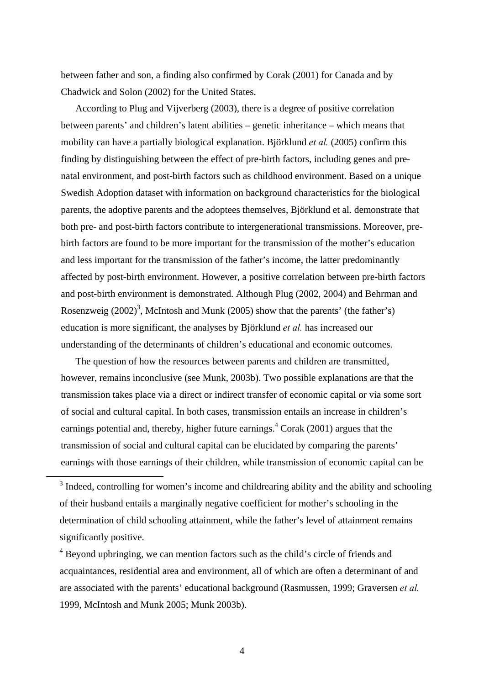between father and son, a finding also confirmed by Corak (2001) for Canada and by Chadwick and Solon (2002) for the United States.

According to Plug and Vijverberg (2003), there is a degree of positive correlation between parents' and children's latent abilities – genetic inheritance – which means that mobility can have a partially biological explanation. Björklund *et al.* (2005) confirm this finding by distinguishing between the effect of pre-birth factors, including genes and prenatal environment, and post-birth factors such as childhood environment. Based on a unique Swedish Adoption dataset with information on background characteristics for the biological parents, the adoptive parents and the adoptees themselves, Björklund et al. demonstrate that both pre- and post-birth factors contribute to intergenerational transmissions. Moreover, prebirth factors are found to be more important for the transmission of the mother's education and less important for the transmission of the father's income, the latter predominantly affected by post-birth environment. However, a positive correlation between pre-birth factors and post-birth environment is demonstrated. Although Plug (2002, 2004) and Behrman and Rosenzweig  $(2002)^3$  $(2002)^3$ , McIntosh and Munk (2005) show that the parents' (the father's) education is more significant, the analyses by Björklund *et al.* has increased our understanding of the determinants of children's educational and economic outcomes.

The question of how the resources between parents and children are transmitted, however, remains inconclusive (see Munk, 2003b). Two possible explanations are that the transmission takes place via a direct or indirect transfer of economic capital or via some sort of social and cultural capital. In both cases, transmission entails an increase in children's earnings potential and, thereby, higher future earnings.<sup>[4](#page-5-1)</sup> Corak (2001) argues that the transmission of social and cultural capital can be elucidated by comparing the parents' earnings with those earnings of their children, while transmission of economic capital can be

<span id="page-5-0"></span><sup>&</sup>lt;sup>3</sup> Indeed, controlling for women's income and childrearing ability and the ability and schooling of their husband entails a marginally negative coefficient for mother's schooling in the determination of child schooling attainment, while the father's level of attainment remains significantly positive.

<span id="page-5-1"></span><sup>&</sup>lt;sup>4</sup> Beyond upbringing, we can mention factors such as the child's circle of friends and acquaintances, residential area and environment, all of which are often a determinant of and are associated with the parents' educational background (Rasmussen, 1999; Graversen *et al.* 1999, McIntosh and Munk 2005; Munk 2003b).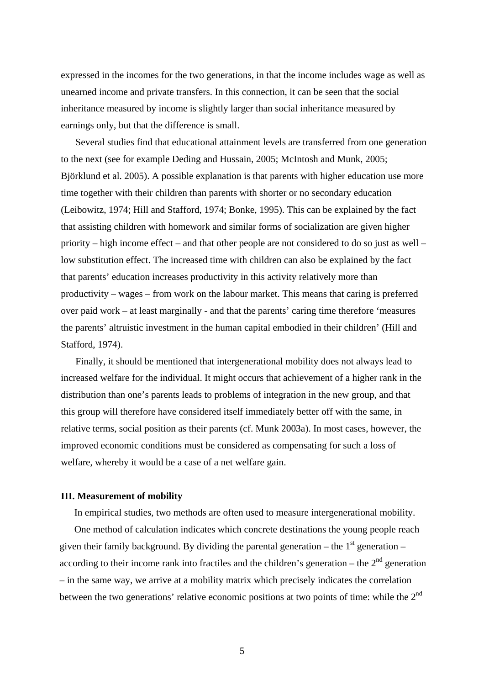expressed in the incomes for the two generations, in that the income includes wage as well as unearned income and private transfers. In this connection, it can be seen that the social inheritance measured by income is slightly larger than social inheritance measured by earnings only, but that the difference is small.

Several studies find that educational attainment levels are transferred from one generation to the next (see for example Deding and Hussain, 2005; McIntosh and Munk, 2005; Björklund et al. 2005). A possible explanation is that parents with higher education use more time together with their children than parents with shorter or no secondary education (Leibowitz, 1974; Hill and Stafford, 1974; Bonke, 1995). This can be explained by the fact that assisting children with homework and similar forms of socialization are given higher priority – high income effect – and that other people are not considered to do so just as well – low substitution effect. The increased time with children can also be explained by the fact that parents' education increases productivity in this activity relatively more than productivity – wages – from work on the labour market. This means that caring is preferred over paid work – at least marginally - and that the parents' caring time therefore 'measures the parents' altruistic investment in the human capital embodied in their children' (Hill and Stafford, 1974).

Finally, it should be mentioned that intergenerational mobility does not always lead to increased welfare for the individual. It might occurs that achievement of a higher rank in the distribution than one's parents leads to problems of integration in the new group, and that this group will therefore have considered itself immediately better off with the same, in relative terms, social position as their parents (cf. Munk 2003a). In most cases, however, the improved economic conditions must be considered as compensating for such a loss of welfare, whereby it would be a case of a net welfare gain.

#### **III. Measurement of mobility**

In empirical studies, two methods are often used to measure intergenerational mobility.

One method of calculation indicates which concrete destinations the young people reach given their family background. By dividing the parental generation – the  $1<sup>st</sup>$  generation – according to their income rank into fractiles and the children's generation – the  $2<sup>nd</sup>$  generation – in the same way, we arrive at a mobility matrix which precisely indicates the correlation between the two generations' relative economic positions at two points of time: while the  $2<sup>nd</sup>$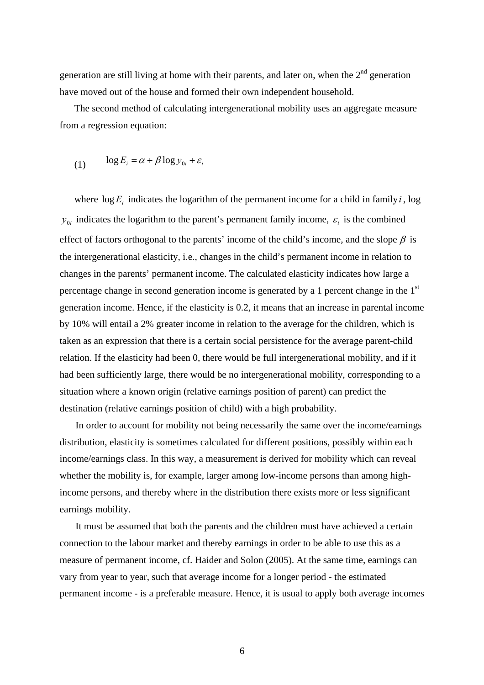generation are still living at home with their parents, and later on, when the  $2<sup>nd</sup>$  generation have moved out of the house and formed their own independent household.

The second method of calculating intergenerational mobility uses an aggregate measure from a regression equation:

(1) 
$$
\log E_i = \alpha + \beta \log y_{0i} + \varepsilon_i
$$

where  $\log E_i$  indicates the logarithm of the permanent income for a child in family *i*, log  $y_{0i}$  indicates the logarithm to the parent's permanent family income,  $\varepsilon_i$  is the combined effect of factors orthogonal to the parents' income of the child's income, and the slope  $\beta$  is the intergenerational elasticity, i.e., changes in the child's permanent income in relation to changes in the parents' permanent income. The calculated elasticity indicates how large a percentage change in second generation income is generated by a 1 percent change in the 1<sup>st</sup> generation income. Hence, if the elasticity is 0.2, it means that an increase in parental income by 10% will entail a 2% greater income in relation to the average for the children, which is taken as an expression that there is a certain social persistence for the average parent-child relation. If the elasticity had been 0, there would be full intergenerational mobility, and if it had been sufficiently large, there would be no intergenerational mobility, corresponding to a situation where a known origin (relative earnings position of parent) can predict the destination (relative earnings position of child) with a high probability.

In order to account for mobility not being necessarily the same over the income/earnings distribution, elasticity is sometimes calculated for different positions, possibly within each income/earnings class. In this way, a measurement is derived for mobility which can reveal whether the mobility is, for example, larger among low-income persons than among highincome persons, and thereby where in the distribution there exists more or less significant earnings mobility.

It must be assumed that both the parents and the children must have achieved a certain connection to the labour market and thereby earnings in order to be able to use this as a measure of permanent income, cf. Haider and Solon (2005). At the same time, earnings can vary from year to year, such that average income for a longer period - the estimated permanent income - is a preferable measure. Hence, it is usual to apply both average incomes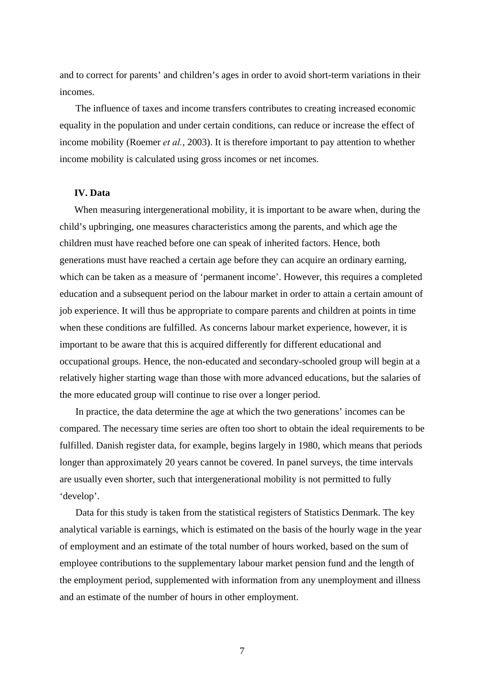and to correct for parents' and children's ages in order to avoid short-term variations in their incomes.

The influence of taxes and income transfers contributes to creating increased economic equality in the population and under certain conditions, can reduce or increase the effect of income mobility (Roemer *et al.*, 2003). It is therefore important to pay attention to whether income mobility is calculated using gross incomes or net incomes.

## **IV. Data**

When measuring intergenerational mobility, it is important to be aware when, during the child's upbringing, one measures characteristics among the parents, and which age the children must have reached before one can speak of inherited factors. Hence, both generations must have reached a certain age before they can acquire an ordinary earning, which can be taken as a measure of 'permanent income'. However, this requires a completed education and a subsequent period on the labour market in order to attain a certain amount of job experience. It will thus be appropriate to compare parents and children at points in time when these conditions are fulfilled. As concerns labour market experience, however, it is important to be aware that this is acquired differently for different educational and occupational groups. Hence, the non-educated and secondary-schooled group will begin at a relatively higher starting wage than those with more advanced educations, but the salaries of the more educated group will continue to rise over a longer period.

In practice, the data determine the age at which the two generations' incomes can be compared. The necessary time series are often too short to obtain the ideal requirements to be fulfilled. Danish register data, for example, begins largely in 1980, which means that periods longer than approximately 20 years cannot be covered. In panel surveys, the time intervals are usually even shorter, such that intergenerational mobility is not permitted to fully 'develop'.

Data for this study is taken from the statistical registers of Statistics Denmark. The key analytical variable is earnings, which is estimated on the basis of the hourly wage in the year of employment and an estimate of the total number of hours worked, based on the sum of employee contributions to the supplementary labour market pension fund and the length of the employment period, supplemented with information from any unemployment and illness and an estimate of the number of hours in other employment.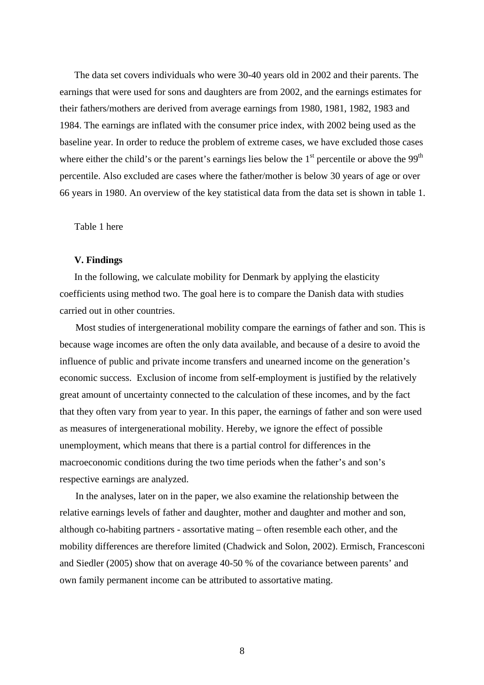The data set covers individuals who were 30-40 years old in 2002 and their parents. The earnings that were used for sons and daughters are from 2002, and the earnings estimates for their fathers/mothers are derived from average earnings from 1980, 1981, 1982, 1983 and 1984. The earnings are inflated with the consumer price index, with 2002 being used as the baseline year. In order to reduce the problem of extreme cases, we have excluded those cases where either the child's or the parent's earnings lies below the  $1<sup>st</sup>$  percentile or above the 99<sup>th</sup> percentile. Also excluded are cases where the father/mother is below 30 years of age or over 66 years in 1980. An overview of the key statistical data from the data set is shown in table 1.

Table 1 here

#### **V. Findings**

In the following, we calculate mobility for Denmark by applying the elasticity coefficients using method two. The goal here is to compare the Danish data with studies carried out in other countries.

Most studies of intergenerational mobility compare the earnings of father and son. This is because wage incomes are often the only data available, and because of a desire to avoid the influence of public and private income transfers and unearned income on the generation's economic success. Exclusion of income from self-employment is justified by the relatively great amount of uncertainty connected to the calculation of these incomes, and by the fact that they often vary from year to year. In this paper, the earnings of father and son were used as measures of intergenerational mobility. Hereby, we ignore the effect of possible unemployment, which means that there is a partial control for differences in the macroeconomic conditions during the two time periods when the father's and son's respective earnings are analyzed.

In the analyses, later on in the paper, we also examine the relationship between the relative earnings levels of father and daughter, mother and daughter and mother and son, although co-habiting partners - assortative mating – often resemble each other, and the mobility differences are therefore limited (Chadwick and Solon, 2002). Ermisch, Francesconi and Siedler (2005) show that on average 40-50 % of the covariance between parents' and own family permanent income can be attributed to assortative mating.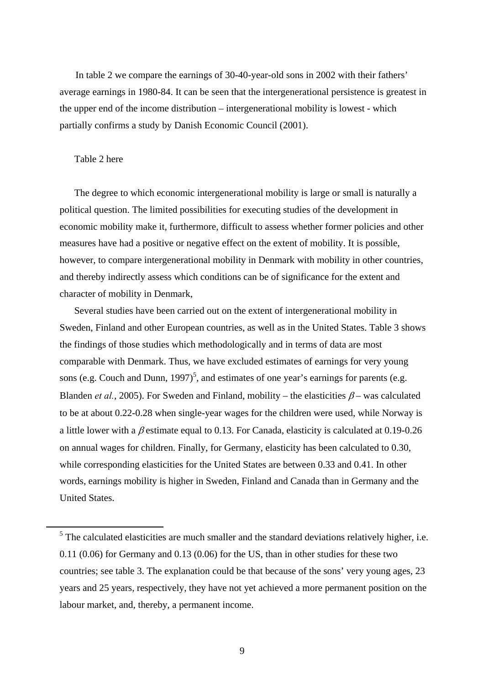In table 2 we compare the earnings of 30-40-year-old sons in 2002 with their fathers' average earnings in 1980-84. It can be seen that the intergenerational persistence is greatest in the upper end of the income distribution – intergenerational mobility is lowest - which partially confirms a study by Danish Economic Council (2001).

## Table 2 here

The degree to which economic intergenerational mobility is large or small is naturally a political question. The limited possibilities for executing studies of the development in economic mobility make it, furthermore, difficult to assess whether former policies and other measures have had a positive or negative effect on the extent of mobility. It is possible, however, to compare intergenerational mobility in Denmark with mobility in other countries, and thereby indirectly assess which conditions can be of significance for the extent and character of mobility in Denmark,

Several studies have been carried out on the extent of intergenerational mobility in Sweden, Finland and other European countries, as well as in the United States. Table 3 shows the findings of those studies which methodologically and in terms of data are most comparable with Denmark. Thus, we have excluded estimates of earnings for very young sons (e.g. Couch and Dunn[,](#page-10-0) 1997)<sup>5</sup>, and estimates of one year's earnings for parents (e.g. Blanden *et al.*, 2005). For Sweden and Finland, mobility – the elasticities  $\beta$  – was calculated to be at about 0.22-0.28 when single-year wages for the children were used, while Norway is a little lower with a  $\beta$  estimate equal to 0.13. For Canada, elasticity is calculated at 0.19-0.26 on annual wages for children. Finally, for Germany, elasticity has been calculated to 0.30, while corresponding elasticities for the United States are between 0.33 and 0.41. In other words, earnings mobility is higher in Sweden, Finland and Canada than in Germany and the United States.

<span id="page-10-0"></span> $\frac{1}{5}$  $<sup>5</sup>$  The calculated elasticities are much smaller and the standard deviations relatively higher, i.e.</sup> 0.11 (0.06) for Germany and 0.13 (0.06) for the US, than in other studies for these two countries; see table 3. The explanation could be that because of the sons' very young ages, 23 years and 25 years, respectively, they have not yet achieved a more permanent position on the labour market, and, thereby, a permanent income.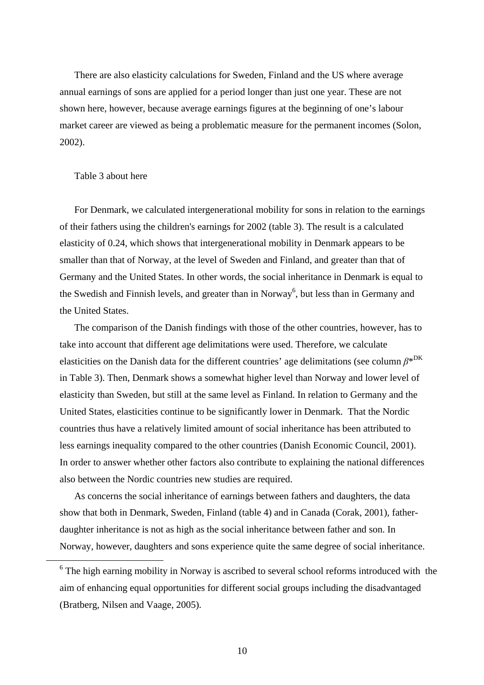There are also elasticity calculations for Sweden, Finland and the US where average annual earnings of sons are applied for a period longer than just one year. These are not shown here, however, because average earnings figures at the beginning of one's labour market career are viewed as being a problematic measure for the permanent incomes (Solon, 2002).

#### Table 3 about here

For Denmark, we calculated intergenerational mobility for sons in relation to the earnings of their fathers using the children's earnings for 2002 (table 3). The result is a calculated elasticity of 0.24, which shows that intergenerational mobility in Denmark appears to be smaller than that of Norway, at the level of Sweden and Finland, and greater than that of Germany and the United States. In other words, the social inheritance in Denmark is equal to the Swedish and Finnish levels, and greater than in Norway<sup>6</sup>, but less than in Germany and the United States.

The comparison of the Danish findings with those of the other countries, however, has to take into account that different age delimitations were used. Therefore, we calculate elasticities on the Danish data for the different countries' age delimitations (see column *β*\*DK in Table 3). Then, Denmark shows a somewhat higher level than Norway and lower level of elasticity than Sweden, but still at the same level as Finland. In relation to Germany and the United States, elasticities continue to be significantly lower in Denmark. That the Nordic countries thus have a relatively limited amount of social inheritance has been attributed to less earnings inequality compared to the other countries (Danish Economic Council, 2001). In order to answer whether other factors also contribute to explaining the national differences also between the Nordic countries new studies are required.

As concerns the social inheritance of earnings between fathers and daughters, the data show that both in Denmark, Sweden, Finland (table 4) and in Canada (Corak, 2001), fatherdaughter inheritance is not as high as the social inheritance between father and son. In Norway, however, daughters and sons experience quite the same degree of social inheritance.

<span id="page-11-0"></span><sup>&</sup>lt;sup>6</sup> The high earning mobility in Norway is ascribed to several school reforms introduced with the aim of enhancing equal opportunities for different social groups including the disadvantaged (Bratberg, Nilsen and Vaage, 2005).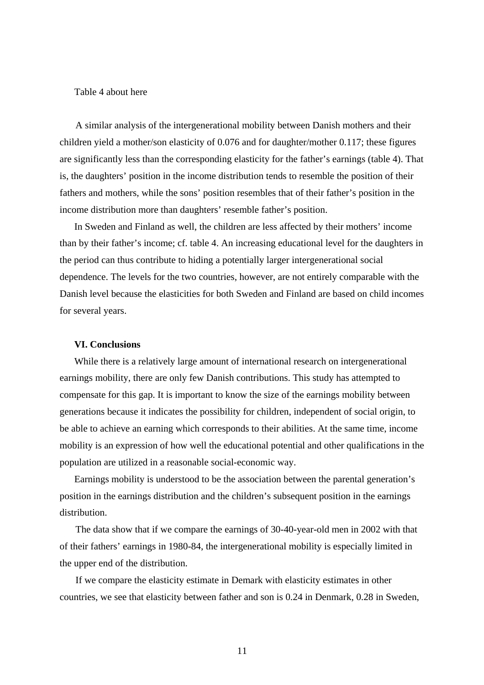#### Table 4 about here

A similar analysis of the intergenerational mobility between Danish mothers and their children yield a mother/son elasticity of 0.076 and for daughter/mother 0.117; these figures are significantly less than the corresponding elasticity for the father's earnings (table 4). That is, the daughters' position in the income distribution tends to resemble the position of their fathers and mothers, while the sons' position resembles that of their father's position in the income distribution more than daughters' resemble father's position.

In Sweden and Finland as well, the children are less affected by their mothers' income than by their father's income; cf. table 4. An increasing educational level for the daughters in the period can thus contribute to hiding a potentially larger intergenerational social dependence. The levels for the two countries, however, are not entirely comparable with the Danish level because the elasticities for both Sweden and Finland are based on child incomes for several years.

#### **VI. Conclusions**

While there is a relatively large amount of international research on intergenerational earnings mobility, there are only few Danish contributions. This study has attempted to compensate for this gap. It is important to know the size of the earnings mobility between generations because it indicates the possibility for children, independent of social origin, to be able to achieve an earning which corresponds to their abilities. At the same time, income mobility is an expression of how well the educational potential and other qualifications in the population are utilized in a reasonable social-economic way.

Earnings mobility is understood to be the association between the parental generation's position in the earnings distribution and the children's subsequent position in the earnings distribution.

The data show that if we compare the earnings of 30-40-year-old men in 2002 with that of their fathers' earnings in 1980-84, the intergenerational mobility is especially limited in the upper end of the distribution.

If we compare the elasticity estimate in Demark with elasticity estimates in other countries, we see that elasticity between father and son is 0.24 in Denmark, 0.28 in Sweden,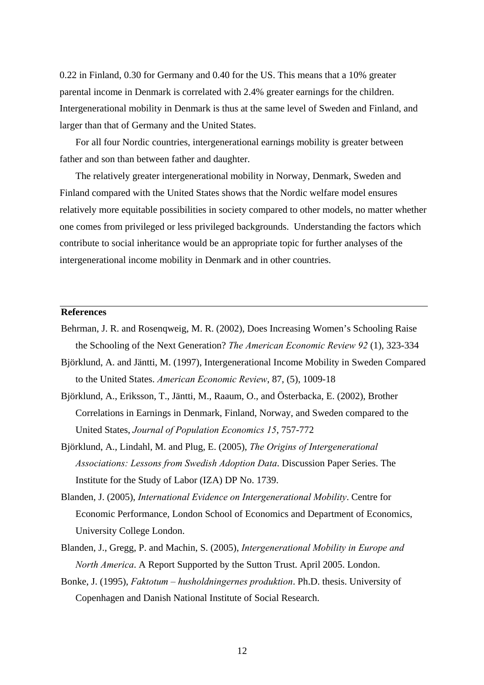0.22 in Finland, 0.30 for Germany and 0.40 for the US. This means that a 10% greater parental income in Denmark is correlated with 2.4% greater earnings for the children. Intergenerational mobility in Denmark is thus at the same level of Sweden and Finland, and larger than that of Germany and the United States.

For all four Nordic countries, intergenerational earnings mobility is greater between father and son than between father and daughter.

The relatively greater intergenerational mobility in Norway, Denmark, Sweden and Finland compared with the United States shows that the Nordic welfare model ensures relatively more equitable possibilities in society compared to other models, no matter whether one comes from privileged or less privileged backgrounds. Understanding the factors which contribute to social inheritance would be an appropriate topic for further analyses of the intergenerational income mobility in Denmark and in other countries.

#### **References**

- Behrman, J. R. and Rosenqweig, M. R. (2002), Does Increasing Women's Schooling Raise the Schooling of the Next Generation? *The American Economic Review 92* (1), 323-334
- Björklund, A. and Jäntti, M. (1997), Intergenerational Income Mobility in Sweden Compared to the United States. *American Economic Review*, 87, (5), 1009-18
- Björklund, A., Eriksson, T., Jäntti, M., Raaum, O., and Österbacka, E. (2002), Brother Correlations in Earnings in Denmark, Finland, Norway, and Sweden compared to the United States, *Journal of Population Economics 15*, 757-772
- Björklund, A., Lindahl, M. and Plug, E. (2005), *The Origins of Intergenerational Associations: Lessons from Swedish Adoption Data*. Discussion Paper Series. The Institute for the Study of Labor (IZA) DP No. 1739.
- Blanden, J. (2005), *International Evidence on Intergenerational Mobility*. Centre for Economic Performance, London School of Economics and Department of Economics, University College London.
- Blanden, J., Gregg, P. and Machin, S. (2005), *Intergenerational Mobility in Europe and North America*. A Report Supported by the Sutton Trust. April 2005. London.
- Bonke, J. (1995), *Faktotum husholdningernes produktion*. Ph.D. thesis. University of Copenhagen and Danish National Institute of Social Research.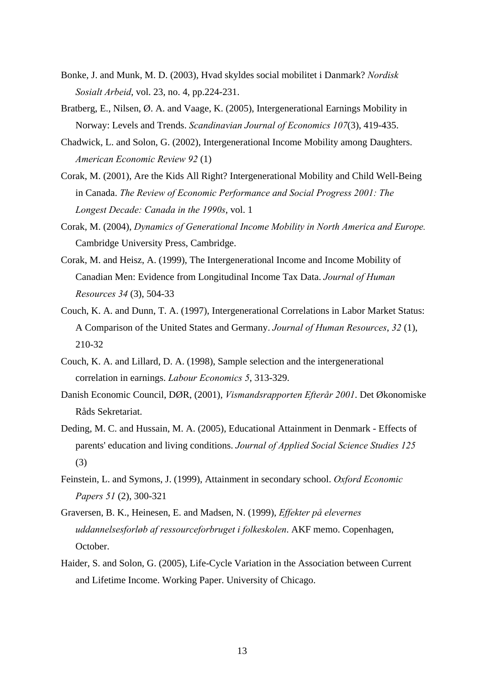- Bonke, J. and Munk, M. D. (2003), Hvad skyldes social mobilitet i Danmark? *Nordisk Sosialt Arbeid*, vol. 23, no. 4, pp.224-231.
- Bratberg, E., Nilsen, Ø. A. and Vaage, K. (2005), Intergenerational Earnings Mobility in Norway: Levels and Trends. *Scandinavian Journal of Economics 107*(3), 419-435.
- Chadwick, L. and Solon, G. (2002), Intergenerational Income Mobility among Daughters. *American Economic Review 92* (1)
- Corak, M. (2001), Are the Kids All Right? Intergenerational Mobility and Child Well-Being in Canada. *The Review of Economic Performance and Social Progress 2001: The Longest Decade: Canada in the 1990s*, vol. 1
- Corak, M. (2004), *Dynamics of Generational Income Mobility in North America and Europe.* Cambridge University Press, Cambridge.
- Corak, M. and Heisz, A. (1999), The Intergenerational Income and Income Mobility of Canadian Men: Evidence from Longitudinal Income Tax Data. *Journal of Human Resources 34* (3), 504-33
- Couch, K. A. and Dunn, T. A. (1997), Intergenerational Correlations in Labor Market Status: A Comparison of the United States and Germany. *Journal of Human Resources*, *32* (1), 210-32
- Couch, K. A. and Lillard, D. A. (1998), Sample selection and the intergenerational correlation in earnings. *Labour Economics 5*, 313-329.
- Danish Economic Council, DØR, (2001), *Vismandsrapporten Efterår 2001*. Det Økonomiske Råds Sekretariat.
- Deding, M. C. and Hussain, M. A. (2005), Educational Attainment in Denmark Effects of parents' education and living conditions. *Journal of Applied Social Science Studies 125* (3)
- Feinstein, L. and Symons, J. (1999), Attainment in secondary school. *Oxford Economic Papers 51* (2), 300-321
- Graversen, B. K., Heinesen, E. and Madsen, N. (1999), *Effekter på elevernes uddannelsesforløb af ressourceforbruget i folkeskolen*. AKF memo. Copenhagen, October.
- Haider, S. and Solon, G. (2005), Life-Cycle Variation in the Association between Current and Lifetime Income. Working Paper. University of Chicago.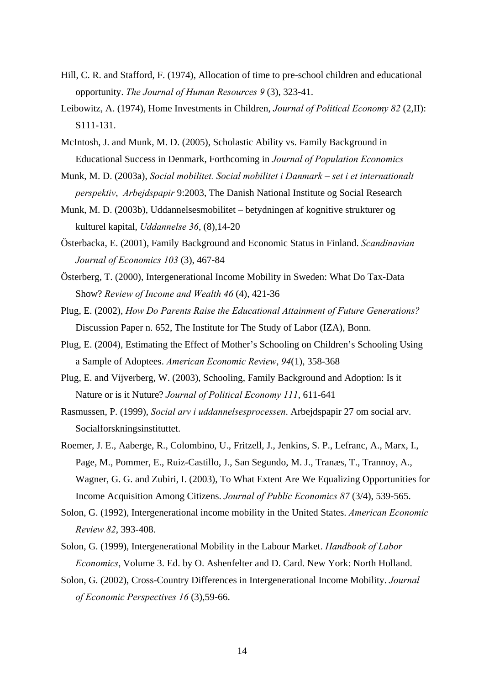- Hill, C. R. and Stafford, F. (1974), Allocation of time to pre-school children and educational opportunity. *The Journal of Human Resources 9* (3), 323-41.
- Leibowitz, A. (1974), Home Investments in Children, *Journal of Political Economy 82* (2,II): S111-131.
- McIntosh, J. and Munk, M. D. (2005), Scholastic Ability vs. Family Background in Educational Success in Denmark, Forthcoming in *Journal of Population Economics*
- Munk, M. D. (2003a), *Social mobilitet. Social mobilitet i Danmark set i et internationalt perspektiv*, *Arbejdspapir* 9:2003, The Danish National Institute og Social Research
- Munk, M. D. (2003b), Uddannelsesmobilitet betydningen af kognitive strukturer og kulturel kapital, *Uddannelse 36*, (8),14-20
- Österbacka, E. (2001), Family Background and Economic Status in Finland. *Scandinavian Journal of Economics 103* (3), 467-84
- Österberg, T. (2000), Intergenerational Income Mobility in Sweden: What Do Tax-Data Show? *Review of Income and Wealth 46* (4), 421-36
- Plug, E. (2002), *How Do Parents Raise the Educational Attainment of Future Generations?* Discussion Paper n. 652, The Institute for The Study of Labor (IZA), Bonn.
- Plug, E. (2004), Estimating the Effect of Mother's Schooling on Children's Schooling Using a Sample of Adoptees. *American Economic Review*, *94*(1), 358-368
- Plug, E. and Vijverberg, W. (2003), Schooling, Family Background and Adoption: Is it Nature or is it Nuture? *Journal of Political Economy 111*, 611-641
- Rasmussen, P. (1999), *Social arv i uddannelsesprocessen*. Arbejdspapir 27 om social arv. Socialforskningsinstituttet.
- Roemer, J. E., Aaberge, R., Colombino, U., Fritzell, J., Jenkins, S. P., Lefranc, A., Marx, I., Page, M., Pommer, E., Ruiz-Castillo, J., San Segundo, M. J., Tranæs, T., Trannoy, A., Wagner, G. G. and Zubiri, I. (2003), To What Extent Are We Equalizing Opportunities for Income Acquisition Among Citizens. *Journal of Public Economics 87* (3/4), 539-565.
- Solon, G. (1992), Intergenerational income mobility in the United States. *American Economic Review 82*, 393-408.
- Solon, G. (1999), Intergenerational Mobility in the Labour Market. *Handbook of Labor Economics*, Volume 3. Ed. by O. Ashenfelter and D. Card. New York: North Holland.
- Solon, G. (2002), Cross-Country Differences in Intergenerational Income Mobility. *Journal of Economic Perspectives 16* (3),59-66.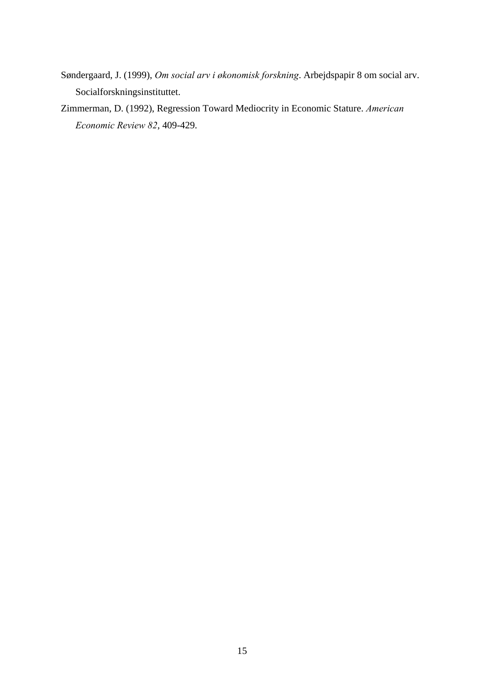- Søndergaard, J. (1999), *Om social arv i økonomisk forskning*. Arbejdspapir 8 om social arv. Socialforskningsinstituttet.
- Zimmerman, D. (1992), Regression Toward Mediocrity in Economic Stature. *American Economic Review 82*, 409-429.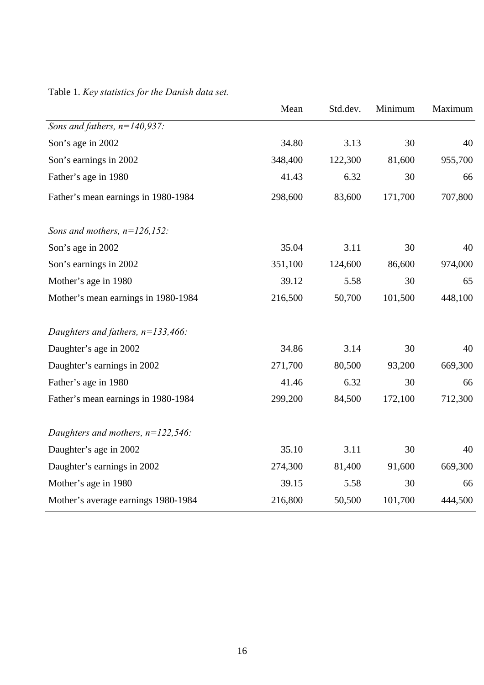|                                      | Mean    | Std.dev. | Minimum | Maximum |
|--------------------------------------|---------|----------|---------|---------|
| Sons and fathers, $n=140,937$ :      |         |          |         |         |
| Son's age in 2002                    | 34.80   | 3.13     | 30      | 40      |
| Son's earnings in 2002               | 348,400 | 122,300  | 81,600  | 955,700 |
| Father's age in 1980                 | 41.43   | 6.32     | 30      | 66      |
| Father's mean earnings in 1980-1984  | 298,600 | 83,600   | 171,700 | 707,800 |
| Sons and mothers, $n=126,152$ :      |         |          |         |         |
| Son's age in 2002                    | 35.04   | 3.11     | 30      | 40      |
| Son's earnings in 2002               | 351,100 | 124,600  | 86,600  | 974,000 |
| Mother's age in 1980                 | 39.12   | 5.58     | 30      | 65      |
| Mother's mean earnings in 1980-1984  | 216,500 | 50,700   | 101,500 | 448,100 |
| Daughters and fathers, $n=133,466$ : |         |          |         |         |
| Daughter's age in 2002               | 34.86   | 3.14     | 30      | 40      |
| Daughter's earnings in 2002          | 271,700 | 80,500   | 93,200  | 669,300 |
| Father's age in 1980                 | 41.46   | 6.32     | 30      | 66      |
| Father's mean earnings in 1980-1984  | 299,200 | 84,500   | 172,100 | 712,300 |
| Daughters and mothers, $n=122,546$ : |         |          |         |         |
| Daughter's age in 2002               | 35.10   | 3.11     | 30      | 40      |
| Daughter's earnings in 2002          | 274,300 | 81,400   | 91,600  | 669,300 |
| Mother's age in 1980                 | 39.15   | 5.58     | 30      | 66      |
| Mother's average earnings 1980-1984  | 216,800 | 50,500   | 101,700 | 444,500 |

Table 1. *Key statistics for the Danish data set.*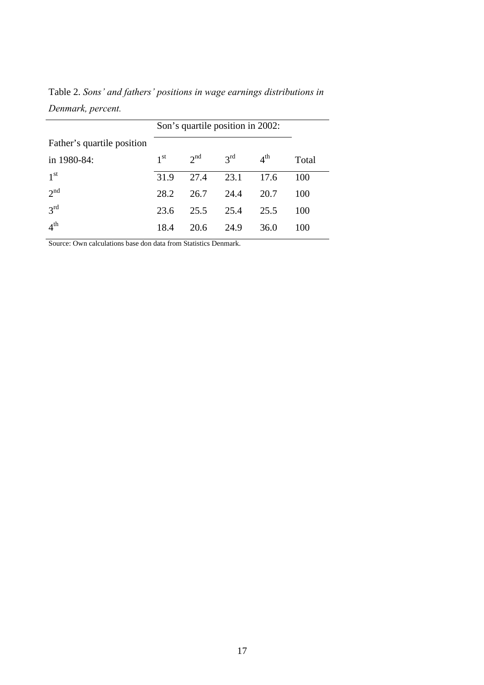|                            | Son's quartile position in 2002: |                 |                 |                 |       |
|----------------------------|----------------------------------|-----------------|-----------------|-----------------|-------|
| Father's quartile position |                                  |                 |                 |                 |       |
| in 1980-84:                | 1 <sup>st</sup>                  | 2 <sup>nd</sup> | $3^{\text{rd}}$ | 4 <sup>th</sup> | Total |
| 1 <sup>st</sup>            | 31.9                             | 27.4            | 23.1            | 17.6            | 100   |
| 2 <sup>nd</sup>            | 28.2                             | 26.7            | 24.4            | 20.7            | 100   |
| $3^{rd}$                   | 23.6                             | 25.5            | 25.4            | 25.5            | 100   |
| 4 <sup>th</sup>            | 18.4                             | 20.6            | 24.9            | 36.0            | 100   |

Table 2. *Sons' and fathers' positions in wage earnings distributions in Denmark, percent.* 

Source: Own calculations base don data from Statistics Denmark.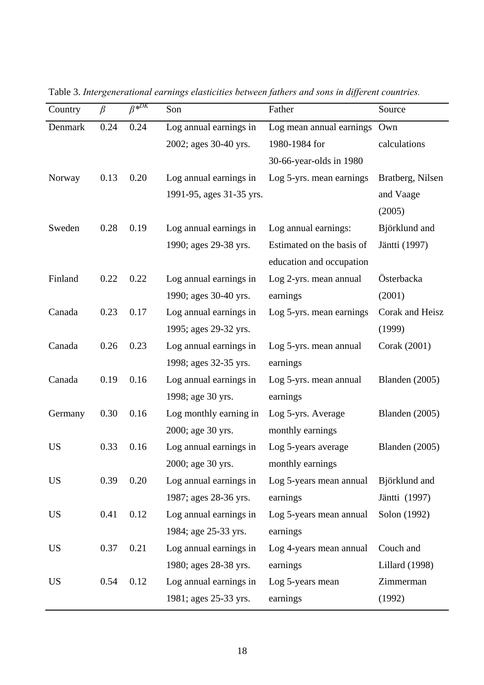| Country   | $\beta$ | $\overline{\beta^{*DK}}$ | Son                      | Father                    | Source                |
|-----------|---------|--------------------------|--------------------------|---------------------------|-----------------------|
| Denmark   | 0.24    | 0.24                     | Log annual earnings in   | Log mean annual earnings  | Own                   |
|           |         |                          | 2002; ages 30-40 yrs.    | 1980-1984 for             | calculations          |
|           |         |                          |                          | 30-66-year-olds in 1980   |                       |
| Norway    | 0.13    | 0.20                     | Log annual earnings in   | Log 5-yrs. mean earnings  | Bratberg, Nilsen      |
|           |         |                          | 1991-95, ages 31-35 yrs. |                           | and Vaage             |
|           |         |                          |                          |                           | (2005)                |
| Sweden    | 0.28    | 0.19                     | Log annual earnings in   | Log annual earnings:      | Björklund and         |
|           |         |                          | 1990; ages 29-38 yrs.    | Estimated on the basis of | Jäntti (1997)         |
|           |         |                          |                          | education and occupation  |                       |
| Finland   | 0.22    | 0.22                     | Log annual earnings in   | Log 2-yrs. mean annual    | Österbacka            |
|           |         |                          | 1990; ages 30-40 yrs.    | earnings                  | (2001)                |
| Canada    | 0.23    | 0.17                     | Log annual earnings in   | Log 5-yrs. mean earnings  | Corak and Heisz       |
|           |         |                          | 1995; ages 29-32 yrs.    |                           | (1999)                |
| Canada    | 0.26    | 0.23                     | Log annual earnings in   | Log 5-yrs. mean annual    | Corak (2001)          |
|           |         |                          | 1998; ages 32-35 yrs.    | earnings                  |                       |
| Canada    | 0.19    | 0.16                     | Log annual earnings in   | Log 5-yrs. mean annual    | Blanden (2005)        |
|           |         |                          | 1998; age 30 yrs.        | earnings                  |                       |
| Germany   | 0.30    | 0.16                     | Log monthly earning in   | Log 5-yrs. Average        | Blanden (2005)        |
|           |         |                          | 2000; age 30 yrs.        | monthly earnings          |                       |
| <b>US</b> | 0.33    | 0.16                     | Log annual earnings in   | Log 5-years average       | Blanden $(2005)$      |
|           |         |                          | 2000; age 30 yrs.        | monthly earnings          |                       |
| <b>US</b> | 0.39    | 0.20                     | Log annual earnings in   | Log 5-years mean annual   | Björklund and         |
|           |         |                          | 1987; ages 28-36 yrs.    | earnings                  | Jäntti (1997)         |
| <b>US</b> | 0.41    | 0.12                     | Log annual earnings in   | Log 5-years mean annual   | Solon (1992)          |
|           |         |                          | 1984; age 25-33 yrs.     | earnings                  |                       |
| <b>US</b> | 0.37    | 0.21                     | Log annual earnings in   | Log 4-years mean annual   | Couch and             |
|           |         |                          | 1980; ages 28-38 yrs.    | earnings                  | <b>Lillard</b> (1998) |
| <b>US</b> | 0.54    | 0.12                     | Log annual earnings in   | Log 5-years mean          | Zimmerman             |
|           |         |                          | 1981; ages 25-33 yrs.    | earnings                  | (1992)                |

Table 3. *Intergenerational earnings elasticities between fathers and sons in different countries.*